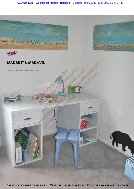

FABRICANT CRÉATIF DE MOBILIER. CREATIVE MEUBELFABRIKANT. FURNITURE MAKER AND DESIGNER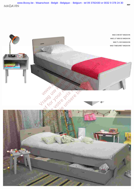MADAVIN [www.Bcosy.be - Waarschoot - België - Belgique - Belgium - tel 09 3782430 or 0032 9 378 24 30](https://www.bcosy.be/)

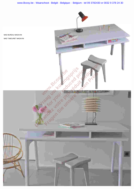[www.Bcosy.be - Waarschoot - België - Belgique - Belgium - tel 09 3782430 or 0032 9 378 24 30](https://www.bcosy.be/)

,

MAD BUREAU MADAVIN MAD TABOURET MADAVIN

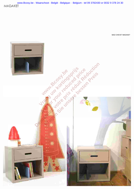www.Bcosy.be - Waarschoot - België - Belgique - Belgium - tel 09 3782430 or 0032 9 378 24 30 **MADAKET** 

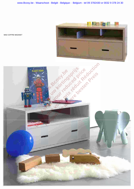www.Bcosy.be - Waarschoot - België - Belgique - Belgium - tel 09 3782430 or 0032 9 378 24 30



MAD COFFRE MADAKET

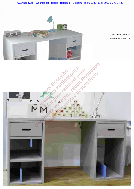



MAD BUREAU MADAKET MAD TABOURET MADAVIN